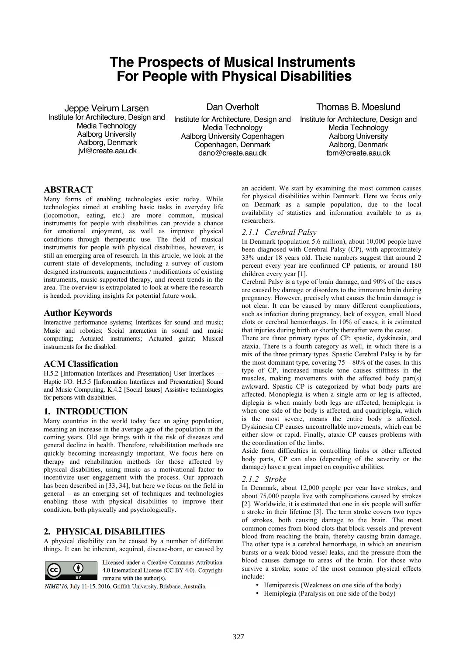# **The Prospects of Musical Instruments For People with Physical Disabilities**

Jeppe Veirum Larsen Institute for Architecture, Design and Media Technology

Aalborg University Aalborg, Denmark jvl@create.aau.dk Dan Overholt

Institute for Architecture, Design and Media Technology Aalborg University Copenhagen Copenhagen, Denmark dano@create.aau.dk

Thomas B. Moeslund

Institute for Architecture, Design and Media Technology Aalborg University Aalborg, Denmark tbm@create.aau.dk

# **ABSTRACT**

Many forms of enabling technologies exist today. While technologies aimed at enabling basic tasks in everyday life (locomotion, eating, etc.) are more common, musical instruments for people with disabilities can provide a chance for emotional enjoyment, as well as improve physical conditions through therapeutic use. The field of musical instruments for people with physical disabilities, however, is still an emerging area of research. In this article, we look at the current state of developments, including a survey of custom designed instruments, augmentations / modifications of existing instruments, music-supported therapy, and recent trends in the area. The overview is extrapolated to look at where the research is headed, providing insights for potential future work.

# **Author Keywords**

Interactive performance systems; Interfaces for sound and music; Music and robotics; Social interaction in sound and music computing; Actuated instruments; Actuated guitar; Musical instruments for the disabled.

# **ACM Classification**

H.5.2 [Information Interfaces and Presentation] User Interfaces --- Haptic I/O. H.5.5 [Information Interfaces and Presentation] Sound and Music Computing. K.4.2 [Social Issues] Assistive technologies for persons with disabilities.

# **1. INTRODUCTION**

Many countries in the world today face an aging population, meaning an increase in the average age of the population in the coming years. Old age brings with it the risk of diseases and general decline in health. Therefore, rehabilitation methods are quickly becoming increasingly important. We focus here on therapy and rehabilitation methods for those affected by physical disabilities, using music as a motivational factor to incentivize user engagement with the process. Our approach has been described in [33, 34], but here we focus on the field in general – as an emerging set of techniques and technologies enabling those with physical disabilities to improve their condition, both physically and psychologically.

# **2. PHYSICAL DISABILITIES**

A physical disability can be caused by a number of different things. It can be inherent, acquired, disease-born, or caused by



Licensed under a Creative Commons Attribution 4.0 International License (CC BY 4.0). Copyright remains with the author(s).

NIME'16, July 11-15, 2016, Griffith University, Brisbane, Australia.

an accident. We start by examining the most common causes for physical disabilities within Denmark. Here we focus only on Denmark as a sample population, due to the local availability of statistics and information available to us as researchers.

# *2.1.1 Cerebral Palsy*

In Denmark (population 5.6 million), about 10,000 people have been diagnosed with Cerebral Palsy (CP), with approximately 33% under 18 years old. These numbers suggest that around 2 percent every year are confirmed CP patients, or around 180 children every year [1].

Cerebral Palsy is a type of brain damage, and 90% of the cases are caused by damage or disorders to the immature brain during pregnancy. However, precisely what causes the brain damage is not clear. It can be caused by many different complications, such as infection during pregnancy, lack of oxygen, small blood clots or cerebral hemorrhages. In 10% of cases, it is estimated that injuries during birth or shortly thereafter were the cause.

There are three primary types of CP: spastic, dyskinesia, and ataxia. There is a fourth category as well, in which there is a mix of the three primary types. Spastic Cerebral Palsy is by far the most dominant type, covering  $75 - 80\%$  of the cases. In this type of CP, increased muscle tone causes stiffness in the muscles, making movements with the affected body part(s) awkward. Spastic CP is categorized by what body parts are affected. Monoplegia is when a single arm or leg is affected, diplegia is when mainly both legs are affected, hemiplegia is when one side of the body is affected, and quadriplegia, which is the most severe, means the entire body is affected. Dyskinesia CP causes uncontrollable movements, which can be either slow or rapid. Finally, ataxic CP causes problems with the coordination of the limbs.

Aside from difficulties in controlling limbs or other affected body parts, CP can also (depending of the severity or the damage) have a great impact on cognitive abilities.

# *2.1.2 Stroke*

In Denmark, about 12,000 people per year have strokes, and about 75,000 people live with complications caused by strokes [2]. Worldwide, it is estimated that one in six people will suffer a stroke in their lifetime [3]. The term stroke covers two types of strokes, both causing damage to the brain. The most common comes from blood clots that block vessels and prevent blood from reaching the brain, thereby causing brain damage. The other type is a cerebral hemorrhage, in which an aneurism bursts or a weak blood vessel leaks, and the pressure from the blood causes damage to areas of the brain. For those who survive a stroke, some of the most common physical effects include:

- Hemiparesis (Weakness on one side of the body)
- Hemiplegia (Paralysis on one side of the body)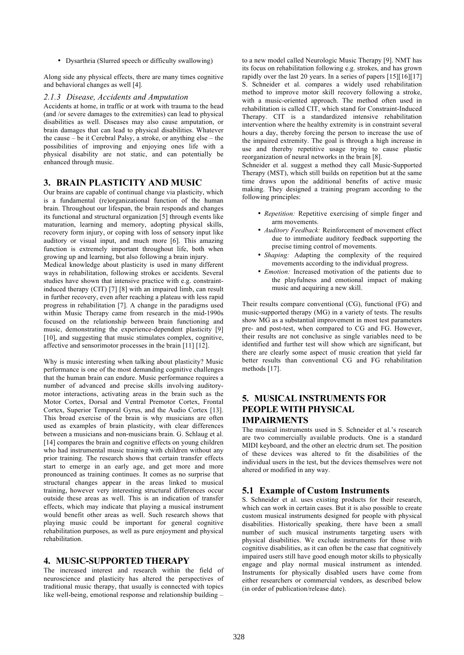• Dysarthria (Slurred speech or difficulty swallowing)

Along side any physical effects, there are many times cognitive and behavioral changes as well [4].

#### *2.1.3 Disease, Accidents and Amputation*

Accidents at home, in traffic or at work with trauma to the head (and /or severe damages to the extremities) can lead to physical disabilities as well. Diseases may also cause amputation, or brain damages that can lead to physical disabilities. Whatever the cause – be it Cerebral Palsy, a stroke, or anything else – the possibilities of improving and enjoying ones life with a physical disability are not static, and can potentially be enhanced through music.

### **3. BRAIN PLASTICITY AND MUSIC**

Our brains are capable of continual change via plasticity, which is a fundamental (re)organizational function of the human brain. Throughout our lifespan, the brain responds and changes its functional and structural organization [5] through events like maturation, learning and memory, adopting physical skills, recovery form injury, or coping with loss of sensory input like auditory or visual input, and much more [6]. This amazing function is extremely important throughout life, both when growing up and learning, but also following a brain injury.

Medical knowledge about plasticity is used in many different ways in rehabilitation, following strokes or accidents. Several studies have shown that intensive practice with e.g. constraintinduced therapy (CIT) [7] [8] with an impaired limb, can result in further recovery, even after reaching a plateau with less rapid progress in rehabilitation [7]. A change in the paradigms used within Music Therapy came from research in the mid-1990s focused on the relationship between brain functioning and music, demonstrating the experience-dependent plasticity [9] [10], and suggesting that music stimulates complex, cognitive, affective and sensorimotor processes in the brain [11] [12].

Why is music interesting when talking about plasticity? Music performance is one of the most demanding cognitive challenges that the human brain can endure. Music performance requires a number of advanced and precise skills involving auditorymotor interactions, activating areas in the brain such as the Motor Cortex, Dorsal and Ventral Premotor Cortex, Frontal Cortex, Superior Temporal Gyrus, and the Audio Cortex [13]. This broad exercise of the brain is why musicians are often used as examples of brain plasticity, with clear differences between a musicians and non-musicians brain. G. Schlaug et al. [14] compares the brain and cognitive effects on young children who had instrumental music training with children without any prior training. The research shows that certain transfer effects start to emerge in an early age, and get more and more pronounced as training continues. It comes as no surprise that structural changes appear in the areas linked to musical training, however very interesting structural differences occur outside these areas as well. This is an indication of transfer effects, which may indicate that playing a musical instrument would benefit other areas as well. Such research shows that playing music could be important for general cognitive rehabilitation purposes, as well as pure enjoyment and physical rehabilitation.

#### **4. MUSIC-SUPPORTED THERAPY**

The increased interest and research within the field of neuroscience and plasticity has altered the perspectives of traditional music therapy, that usually is connected with topics like well-being, emotional response and relationship building –

to a new model called Neurologic Music Therapy [9]. NMT has its focus on rehabilitation following e.g. strokes, and has grown rapidly over the last 20 years. In a series of papers [15][16][17] S. Schneider et al. compares a widely used rehabilitation method to improve motor skill recovery following a stroke, with a music-oriented approach. The method often used in rehabilitation is called CIT, which stand for Constraint-Induced Therapy. CIT is a standardized intensive rehabilitation intervention where the healthy extremity is in constraint several hours a day, thereby forcing the person to increase the use of the impaired extremity. The goal is through a high increase in use and thereby repetitive usage trying to cause plastic reorganization of neural networks in the brain [8].

Schneider et al. suggest a method they call Music-Supported Therapy (MST), which still builds on repetition but at the same time draws upon the additional benefits of active music making. They designed a training program according to the following principles:

- *Repetition:* Repetitive exercising of simple finger and arm movements.
- *Auditory Feedback:* Reinforcement of movement effect due to immediate auditory feedback supporting the precise timing control of movements.
- *Shaping:* Adapting the complexity of the required movements according to the individual progress.
- *Emotion:* Increased motivation of the patients due to the playfulness and emotional impact of making music and acquiring a new skill.

Their results compare conventional (CG), functional (FG) and music-supported therapy (MG) in a variety of tests. The results show MG as a substantial improvement in most test parameters pre- and post-test, when compared to CG and FG. However, their results are not conclusive as single variables need to be identified and further test will show which are significant, but there are clearly some aspect of music creation that yield far better results than conventional CG and FG rehabilitation methods [17].

# **5. MUSICAL INSTRUMENTS FOR PEOPLE WITH PHYSICAL IMPAIRMENTS**

The musical instruments used in S. Schneider et al.'s research are two commercially available products. One is a standard MIDI keyboard, and the other an electric drum set. The position of these devices was altered to fit the disabilities of the individual users in the test, but the devices themselves were not altered or modified in any way.

#### **5.1 Example of Custom Instruments**

S. Schneider et al. uses existing products for their research, which can work in certain cases. But it is also possible to create custom musical instruments designed for people with physical disabilities. Historically speaking, there have been a small number of such musical instruments targeting users with physical disabilities. We exclude instruments for those with cognitive disabilities, as it can often be the case that cognitively impaired users still have good enough motor skills to physically engage and play normal musical instrument as intended. Instruments for physically disabled users have come from either researchers or commercial vendors, as described below (in order of publication/release date).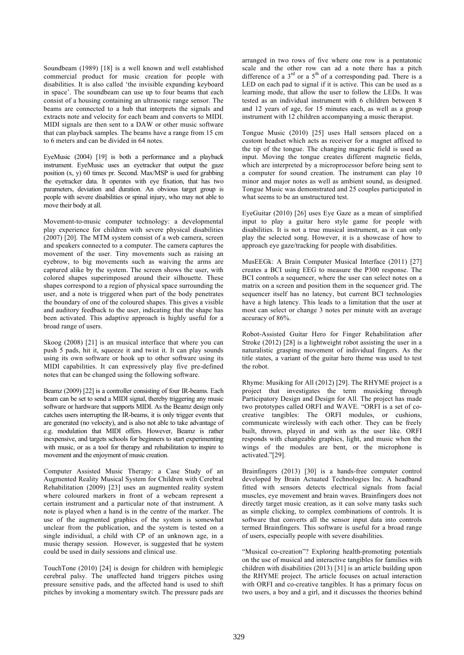Soundbeam (1989) [18] is a well known and well established commercial product for music creation for people with disabilities. It is also called 'the invisible expanding keyboard in space'. The soundbeam can use up to four beams that each consist of a housing containing an ultrasonic range sensor. The beams are connected to a hub that interprets the signals and extracts note and velocity for each beam and converts to MIDI. MIDI signals are then sent to a DAW or other music software that can playback samples. The beams have a range from 15 cm to 6 meters and can be divided in 64 notes.

EyeMusic (2004) [19] is both a performance and a playback instrument. EyeMusic uses an eyetracker that output the gaze position (x, y) 60 times pr. Second. Max/MSP is used for grabbing the eyetracker data. It operates with eye fixation, that has two parameters, deviation and duration. An obvious target group is people with severe disabilities or spinal injury, who may not able to move their body at all.

Movement-to-music computer technology: a developmental play experience for children with severe physical disabilities (2007) [20]. The MTM system consist of a web camera, screen and speakers connected to a computer. The camera captures the movement of the user. Tiny movements such as raising an eyebrow, to big movements such as waiving the arms are captured alike by the system. The screen shows the user, with colored shapes superimposed around their silhouette. These shapes correspond to a region of physical space surrounding the user, and a note is triggered when part of the body penetrates the boundary of one of the coloured shapes. This gives a visible and auditory feedback to the user, indicating that the shape has been activated. This adaptive approach is highly useful for a broad range of users.

Skoog (2008) [21] is an musical interface that where you can push 5 pads, hit it, squeeze it and twist it. It can play sounds using its own software or hook up to other software using its MIDI capabilities. It can expressively play five pre-defined notes that can be changed using the following software.

Beamz (2009) [22] is a controller consisting of four IR-beams. Each beam can be set to send a MIDI signal, thereby triggering any music software or hardware that supports MIDI. As the Beamz design only catches users interrupting the IR-beams, it is only trigger events that are generated (no velocity), and is also not able to take advantage of e.g. modulation that MIDI offers. However, Beamz is rather inexpensive, and targets schools for beginners to start experimenting with music, or as a tool for therapy and rehabilitation to inspire to movement and the enjoyment of music creation.

Computer Assisted Music Therapy: a Case Study of an Augmented Reality Musical System for Children with Cerebral Rehabilitation (2009) [23] uses an augmented reality system where coloured markers in front of a webcam represent a certain instrument and a particular note of that instrument. A note is played when a hand is in the centre of the marker. The use of the augmented graphics of the system is somewhat unclear from the publication, and the system is tested on a single individual, a child with CP of an unknown age, in a music therapy session. However, is suggested that he system could be used in daily sessions and clinical use.

TouchTone (2010) [24] is design for children with hemiplegic cerebral palsy. The unaffected hand triggers pitches using pressure sensitive pads, and the affected hand is used to shift pitches by invoking a momentary switch. The pressure pads are arranged in two rows of five where one row is a pentatonic scale and the other row can ad a note there has a pitch difference of a  $3<sup>rd</sup>$  or a  $5<sup>th</sup>$  of a corresponding pad. There is a LED on each pad to signal if it is active. This can be used as a learning mode, that allow the user to follow the LEDs. It was tested as an individual instrument with 6 children between 8 and 12 years of age, for 15 minutes each, as well as a group instrument with 12 children accompanying a music therapist.

Tongue Music (2010) [25] uses Hall sensors placed on a custom headset which acts as receiver for a magnet affixed to the tip of the tongue. The changing magnetic field is used as input. Moving the tongue creates different magnetic fields, which are interpreted by a microprocessor before being sent to a computer for sound creation. The instrument can play 10 minor and major notes as well as ambient sound, as designed. Tongue Music was demonstrated and 25 couples participated in what seems to be an unstructured test.

EyeGuitar (2010) [26] uses Eye Gaze as a mean of simplified input to play a guitar hero style game for people with disabilities. It is not a true musical instrument, as it can only play the selected song. However, it is a showcase of how to approach eye gaze/tracking for people with disabilities.

MusEEGk: A Brain Computer Musical Interface (2011) [27] creates a BCI using EEG to measure the P300 response. The BCI controls a sequencer, where the user can select notes on a matrix on a screen and position them in the sequencer grid. The sequencer itself has no latency, but current BCI technologies have a high latency. This leads to a limitation that the user at most can select or change 3 notes per minute with an average accuracy of 86%.

Robot-Assisted Guitar Hero for Finger Rehabilitation after Stroke (2012) [28] is a lightweight robot assisting the user in a naturalistic grasping movement of individual fingers. As the title states, a variant of the guitar hero theme was used to test the robot.

Rhyme: Musiking for All (2012) [29]. The RHYME project is a project that investigates the term musicking through Participatory Design and Design for All. The project has made two prototypes called ORFI and WAVE. "ORFI is a set of cocreative tangibles: The ORFI modules, or cushions, communicate wirelessly with each other. They can be freely built, thrown, played in and with as the user like. ORFI responds with changeable graphics, light, and music when the wings of the modules are bent, or the microphone is activated."[29].

Brainfingers (2013) [30] is a hands-free computer control developed by Brain Actuated Technologies Inc. A headband fitted with sensors detects electrical signals from facial muscles, eye movement and brain waves. Brainfingers does not directly target music creation, as it can solve many tasks such as simple clicking, to complex combinations of controls. It is software that converts all the sensor input data into controls termed Brainfingers. This software is useful for a broad range of users, especially people with severe disabilities.

"Musical co-creation"? Exploring health-promoting potentials on the use of musical and interactive tangibles for families with children with disabilities (2013) [31] is an article building upon the RHYME project. The article focuses on actual interaction with ORFI and co-creative tangibles. It has a primary focus on two users, a boy and a girl, and it discusses the theories behind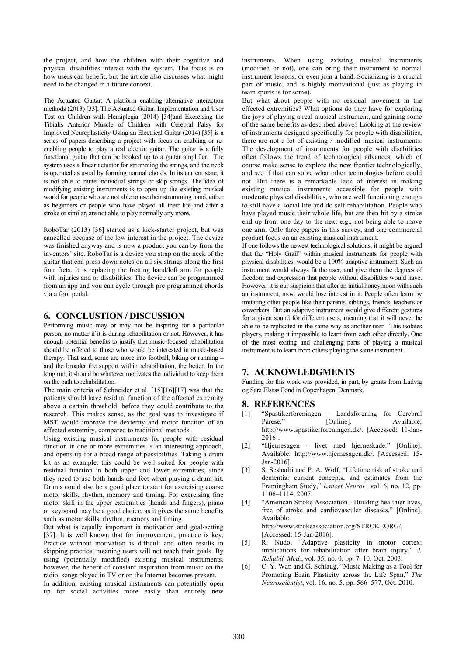the project, and how the children with their cognitive and physical disabilities interact with the system. The focus is on how users can benefit, but the article also discusses what might need to be changed in a future context.

The Actuated Guitar: A platform enabling alternative interaction methods (2013) [33], The Actuated Guitar: Implementation and User Test on Children with Hemiplegia (2014) [34]and Exercising the Tibialis Anterior Muscle of Children with Cerebral Palsy for Improved Neuroplasticity Using an Electrical Guitar (2014) [35] is a series of papers describing a project with focus on enabling or reenabling people to play a real electric guitar. The guitar is a fully functional guitar that can be hooked up to a guitar amplifier. The system uses a linear actuator for strumming the strings, and the neck is operated as usual by forming normal chords. In its current state, it is not able to mute individual strings or skip strings. The idea of modifying existing instruments is to open up the existing musical world for people who are not able to use their strumming hand, either as beginners or people who have played all their life and after a stroke or similar, are not able to play normally any more.

RoboTar (2013) [36] started as a kick-starter project, but was cancelled because of the low interest in the project. The device was finished anyway and is now a product you can by from the inventors' site. RoboTar is a device you strap on the neck of the guitar that can press down notes on all six strings along the first four frets. It is replacing the fretting hand/left arm for people with injuries and or disabilities. The device can be programmed from an app and you can cycle through pre-programmed chords via a foot pedal.

### **6. CONCLUSTION / DISCUSSION**

Performing music may or may not be inspiring for a particular person, no matter if it is during rehabilitation or not. However, it has enough potential benefits to justify that music-focused rehabilitation should be offered to those who would be interested in music-based therapy. That said, some are more into football, biking or running – and the broader the support within rehabilitation, the better. In the long run, it should be whatever motivates the individual to keep them on the path to rehabilitation.

The main criteria of Schneider et al. [15][16][17] was that the patients should have residual function of the affected extremity above a certain threshold, before they could contribute to the research. This makes sense, as the goal was to investigate if MST would improve the dexterity and motor function of an effected extremity, compared to traditional methods.

Using existing musical instruments for people with residual function in one or more extremities is an interesting approach, and opens up for a broad range of possibilities. Taking a drum kit as an example, this could be well suited for people with residual function in both upper and lower extremities, since they need to use both hands and feet when playing a drum kit. Drums could also be a good place to start for exercising coarse motor skills, rhythm, memory and timing. For exercising fine motor skill in the upper extremities (hands and fingers), piano or keyboard may be a good choice, as it gives the same benefits such as motor skills, rhythm, memory and timing.

But what is equally important is motivation and goal-setting [37]. It is well known that for improvement, practice is key. Practice without motivation is difficult and often results in skipping practice, meaning users will not reach their goals. By using (potentially modified) existing musical instruments, however, the benefit of constant inspiration from music on the radio, songs played in TV or on the Internet becomes present.

In addition, existing musical instruments can potentially open up for social activities more easily than entirely new

instruments. When using existing musical instruments (modified or not), one can bring their instrument to normal instrument lessons, or even join a band. Socializing is a crucial part of music, and is highly motivational (just as playing in team sports is for some).

But what about people with no residual movement in the effected extremities? What options do they have for exploring the joys of playing a real musical instrument, and gaining some of the same benefits as described above? Looking at the review of instruments designed specifically for people with disabilities, there are not a lot of existing / modified musical instruments. The development of instruments for people with disabilities often follows the trend of technological advances, which of course make sense to explore the new frontier technologically, and see if that can solve what other technologies before could not. But there is a remarkable lack of interest in making existing musical instruments accessible for people with moderate physical disabilities, who are well functioning enough to still have a social life and do self rehabilitation. People who have played music their whole life, but are then hit by a stroke end up from one day to the next e.g., not being able to move one arm. Only three papers in this survey, and one commercial product focus on an existing musical instrument.

If one follows the newest technological solutions, it might be argued that the "Holy Grail" within musical instruments for people with physical disabilities, would be a 100% adaptive instrument. Such an instrument would always fit the user, and give them the degrees of freedom and expression that people without disabilities would have. However, it is our suspicion that after an initial honeymoon with such an instrument, most would lose interest in it. People often learn by imitating other people like their parents, siblings, friends, teachers or coworkers. But an adaptive instrument would give different gestures for a given sound for different users, meaning that it will never be able to be replicated in the same way as another user. This isolates players, making it impossible to learn from each other directly. One of the most exiting and challenging parts of playing a musical instrument is to learn from others playing the same instrument.

# **7. ACKNOWLEDGMENTS**

Funding for this work was provided, in part, by grants from Ludvig og Sara Elsass Fond in Copenhagen, Denmark.

# **8. REFERENCES**

- [1] "Spastikerforeningen Landsforening for Cerebral Parese." [Online]. Available: http://www.spastikerforeningen.dk/. [Accessed: 11-Jan-2016].
- [2] "Hjernesagen livet med hjerneskade." [Online]. Available: http://www.hjernesagen.dk/. [Accessed: 15- Jan-2016].
- [3] S. Seshadri and P. A. Wolf, "Lifetime risk of stroke and dementia: current concepts, and estimates from the Framingham Study," *Lancet Neurol.*, vol. 6, no. 12, pp. 1106–1114, 2007.
- [4] "American Stroke Association Building healthier lives, free of stroke and cardiovascular diseases." [Online]. Available: http://www.strokeassociation.org/STROKEORG/. [Accessed: 15-Jan-2016].
- [5] R. Nudo, "Adaptive plasticity in motor cortex: implications for rehabilitation after brain injury," *J. Rehabil. Med.*, vol. 35, no. 0, pp. 7–10, Oct. 2003.
- [6] C. Y. Wan and G. Schlaug, "Music Making as a Tool for Promoting Brain Plasticity across the Life Span," *The Neuroscientist*, vol. 16, no. 5, pp. 566–577, Oct. 2010.